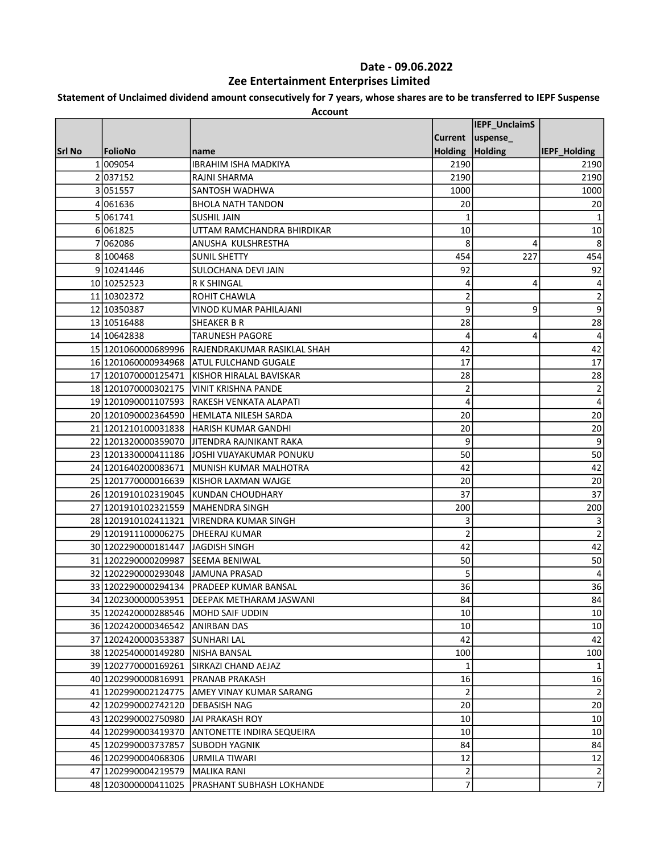# Statement of Unclaimed dividend amount consecutively for 7 years, whose shares are to be transferred to IEPF Suspense

|        |                                       |                                                 |                | IEPF_UnclaimS |                |
|--------|---------------------------------------|-------------------------------------------------|----------------|---------------|----------------|
|        |                                       |                                                 | <b>Current</b> | $ $ uspense_  |                |
| Srl No | FolioNo                               | name                                            | <b>Holding</b> | Holding       | IEPF_Holding   |
|        | 1 009054                              | IBRAHIM ISHA MADKIYA                            | 2190           |               | 2190           |
|        | 2037152                               | RAJNI SHARMA                                    | 2190           |               | 2190           |
|        | 3 051557                              | SANTOSH WADHWA                                  | 1000           |               | 1000           |
|        | 4 061636                              | <b>BHOLA NATH TANDON</b>                        | 20             |               | 20             |
|        | 5 061741                              | <b>SUSHIL JAIN</b>                              | 1              |               | 1              |
|        | 6061825                               | UTTAM RAMCHANDRA BHIRDIKAR                      | 10             |               | 10             |
| 7      | 062086                                | ANUSHA KULSHRESTHA                              | 8              | 4             | 8              |
|        | 8 100468                              | <b>SUNIL SHETTY</b>                             | 454            | 227           | 454            |
|        | 9 10241446                            | SULOCHANA DEVI JAIN                             | 92             |               | 92             |
|        | 10 10252523                           | <b>R K SHINGAL</b>                              | 4              | 4             | 4              |
|        | 11 10302372                           | ROHIT CHAWLA                                    | $\overline{2}$ |               | $\overline{2}$ |
|        | 12 10350387                           | VINOD KUMAR PAHILAJANI                          | 9              | 9             | 9              |
|        | 13 10516488                           | <b>SHEAKER B R</b>                              | 28             |               | 28             |
|        | 14 10642838                           | <b>TARUNESH PAGORE</b>                          | 4              | 4             | 4              |
|        |                                       | 15 1201060000689996 RAJENDRAKUMAR RASIKLAL SHAH | 42             |               | 42             |
|        |                                       | 16 1201060000934968 ATUL FULCHAND GUGALE        | 17             |               | 17             |
|        | 17 1201070000125471                   | KISHOR HIRALAL BAVISKAR                         | 28             |               | 28             |
|        |                                       | 18 1201070000302175 VINIT KRISHNA PANDE         | 2              |               | $\overline{2}$ |
|        |                                       | 19 1201090001107593 RAKESH VENKATA ALAPATI      | 4              |               | 4              |
|        |                                       | 20 1201090002364590 HEMLATA NILESH SARDA        | 20             |               | 20             |
|        |                                       | 21 1201210100031838 HARISH KUMAR GANDHI         | 20             |               | 20             |
|        |                                       | 22 1201320000359070 JJITENDRA RAJNIKANT RAKA    | 9              |               | 9              |
|        |                                       | 23 1201330000411186 JJOSHI VIJAYAKUMAR PONUKU   | 50             |               | 50             |
|        |                                       | 24 1201640200083671 MUNISH KUMAR MALHOTRA       | 42             |               | 42             |
|        |                                       | 25 1201770000016639 KISHOR LAXMAN WAJGE         | 20             |               | 20             |
|        |                                       | 26 1201910102319045 KUNDAN CHOUDHARY            | 37             |               | 37             |
|        | 27 1201910102321559 MAHENDRA SINGH    |                                                 | 200            |               | 200            |
|        |                                       | 28 1201910102411321 VIRENDRA KUMAR SINGH        | 3              |               | 3              |
|        | 29 1201911100006275 DHEERAJ KUMAR     |                                                 | $\overline{c}$ |               | $\overline{2}$ |
|        | 30 1202290000181447 JJAGDISH SINGH    |                                                 | 42             |               | 42             |
|        | 31 1202290000209987 SEEMA BENIWAL     |                                                 | 50             |               | 50             |
|        | 32 1202290000293048 JAMUNA PRASAD     |                                                 | 5              |               | 4              |
|        |                                       | 33 1202290000294134 PRADEEP KUMAR BANSAL        | 36             |               | 36             |
|        |                                       | 34 1202300000053951  DEEPAK METHARAM JASWANI    | 84             |               | 84             |
|        | 35 12024 20000 288546 MOHD SAIF UDDIN |                                                 | 10             |               | 10             |
|        | 36 1202420000346542 ANIRBAN DAS       |                                                 | 10             |               | 10             |
|        | 37 1202420000353387 SUNHARI LAL       |                                                 | 42             |               | 42             |
|        | 38 1202540000149280 NISHA BANSAL      |                                                 | 100            |               | 100            |
|        | 39 1202770000169261                   | <b>ISIRKAZI CHAND AEJAZ</b>                     | 1              |               | 1              |
|        | 40 1202990000816991                   | <b>PRANAB PRAKASH</b>                           | 16             |               | 16             |
|        |                                       | 41 1202990002124775 AMEY VINAY KUMAR SARANG     | 2              |               | $\overline{2}$ |
|        | 42 1202990002742120                   | <b>DEBASISH NAG</b>                             | 20             |               | $20\,$         |
|        | 43 1202990002750980                   | JAI PRAKASH ROY                                 | 10             |               | 10             |
|        |                                       | 44 1202990003419370 ANTONETTE INDIRA SEQUEIRA   | 10             |               | 10             |
|        | 45 1202990003737857                   | <b>SUBODH YAGNIK</b>                            | 84             |               | 84             |
|        | 46 1202990004068306                   | <b>JURMILA TIWARI</b>                           | 12             |               | 12             |
|        | 47 1202990004219579 MALIKA RANI       |                                                 | 2              |               | $\mathbf 2$    |
|        | 48 1203000000411025                   | PRASHANT SUBHASH LOKHANDE                       | 7              |               | $\overline{7}$ |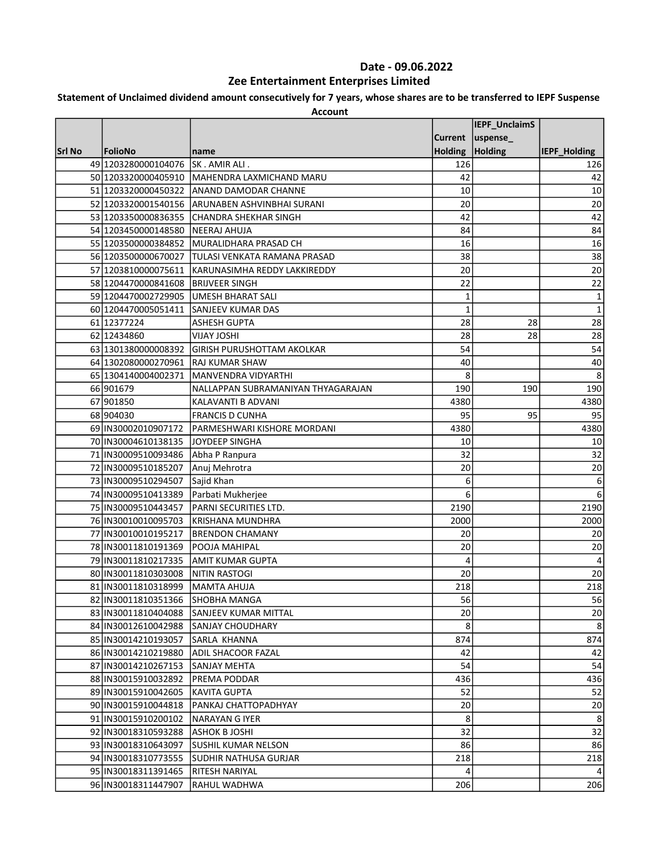### Statement of Unclaimed dividend amount consecutively for 7 years, whose shares are to be transferred to IEPF Suspense

|        |                                    |                                                  |                | IEPF_UnclaimS |              |
|--------|------------------------------------|--------------------------------------------------|----------------|---------------|--------------|
|        |                                    |                                                  |                |               |              |
|        |                                    |                                                  | <b>Current</b> | uspense_      |              |
| Srl No | FolioNo                            | name                                             | <b>Holding</b> | Holding       | IEPF Holding |
|        | 49 1203280000104076 SK. AMIR ALI.  |                                                  | 126            |               | 126          |
|        |                                    | 50 1203320000405910 MAHENDRA LAXMICHAND MARU     | 42             |               | 42           |
|        |                                    | 51 1203320000450322 ANAND DAMODAR CHANNE         | 10             |               | 10           |
|        |                                    | 52 1203320001540156 ARUNABEN ASHVINBHAI SURANI   | 20             |               | 20           |
|        |                                    | 53 1203350000836355 CHANDRA SHEKHAR SINGH        | 42             |               | 42           |
|        | 54 1203450000148580 NEERAJ AHUJA   |                                                  | 84             |               | 84           |
|        |                                    | 55 1203500000384852 MURALIDHARA PRASAD CH        | 16             |               | 16           |
|        |                                    | 56 1203500000670027 TULASI VENKATA RAMANA PRASAD | 38             |               | 38           |
|        | 57 1203810000075611                | KARUNASIMHA REDDY LAKKIREDDY                     | 20             |               | 20           |
|        | 58 1204470000841608 BRIJVEER SINGH |                                                  | 22             |               | 22           |
|        |                                    | 59 1204470002729905 UMESH BHARAT SALI            | 1              |               | $\mathbf 1$  |
|        | 60 1204470005051411                | SANJEEV KUMAR DAS                                | $\mathbf{1}$   |               | $\mathbf{1}$ |
|        | 61 12377224                        | <b>ASHESH GUPTA</b>                              | 28             | 28            | 28           |
|        | 62 12434860                        | <b>IHZOL YALIV</b>                               | 28             | 28            | 28           |
|        | 63 1301380000008392                | <b>JGIRISH PURUSHOTTAM AKOLKAR</b>               | 54             |               | 54           |
|        | 64 1302080000270961                | <b>RAJ KUMAR SHAW</b>                            | 40             |               | 40           |
|        | 65 1304140004002371                | MANVENDRA VIDYARTHI                              | 8              |               | 8            |
|        | 66 901679                          | NALLAPPAN SUBRAMANIYAN THYAGARAJAN               | 190            | 190           | 190          |
|        | 67 901850                          | KALAVANTI B ADVANI                               | 4380           |               | 4380         |
|        | 68 904030                          | <b>FRANCIS D CUNHA</b>                           | 95             | 95            | 95           |
|        | 69 IN30002010907172                | <b>PARMESHWARI KISHORE MORDANI</b>               | 4380           |               | 4380         |
|        | 70 IN30004610138135 JOYDEEP SINGHA |                                                  | 10             |               | 10           |
|        | 71 IN30009510093486                | Abha P Ranpura                                   | 32             |               | 32           |
|        | 72 IN30009510185207                | Anuj Mehrotra                                    | 20             |               | 20           |
|        | 73 IN30009510294507                | Sajid Khan                                       | 6              |               | 6            |
|        | 74 IN30009510413389                | Parbati Mukherjee                                | 6              |               | 6            |
|        | 75 IN30009510443457                | PARNI SECURITIES LTD.                            | 2190           |               | 2190         |
|        | 76 IN30010010095703                | IKRISHANA MUNDHRA                                | 2000           |               | 2000         |
|        | 77 IN30010010195217                | IBRENDON CHAMANY                                 | 20             |               | 20           |
|        | 78 IN30011810191369                | POOJA MAHIPAL                                    | 20             |               | 20           |
|        | 79 IN30011810217335                | AMIT KUMAR GUPTA                                 | 4              |               | 4            |
|        | 80 IN30011810303008                | NITIN RASTOGI                                    | 20             |               | 20           |
|        | 81 IN30011810318999                | MAMTA AHUJA                                      | 218            |               | 218          |
|        | 82 IN30011810351366 SHOBHA MANGA   |                                                  | 56             |               | 56           |
|        | 83 IN30011810404088                | SANJEEV KUMAR MITTAL                             | 20             |               | 20           |
|        | 84 IN30012610042988                | SANJAY CHOUDHARY                                 | 8              |               | 8            |
|        | 85   IN30014210193057              | SARLA KHANNA                                     | 874            |               | 874          |
|        | 86   IN30014210219880              | <b>ADIL SHACOOR FAZAL</b>                        | 42             |               | 42           |
|        | 87 IN30014210267153                | SANJAY MEHTA                                     | 54             |               | 54           |
|        | 88 IN30015910032892                | PREMA PODDAR                                     | 436            |               | 436          |
|        | 89   IN30015910042605              | KAVITA GUPTA                                     | 52             |               | 52           |
|        | 90   IN30015910044818              | PANKAJ CHATTOPADHYAY                             | 20             |               | 20           |
|        | 91 IN30015910200102                | NARAYAN G IYER                                   | 8              |               | 8            |
|        | 92 IN30018310593288                | ASHOK B JOSHI                                    | 32             |               | 32           |
|        | 93 IN30018310643097                | SUSHIL KUMAR NELSON                              | 86             |               | 86           |
|        | 94 IN30018310773555                | ISUDHIR NATHUSA GURJAR                           | 218            |               | 218          |
|        | 95 IN30018311391465                | <b>RITESH NARIYAL</b>                            | 4              |               | 4            |
|        | 96 IN30018311447907                | RAHUL WADHWA                                     | 206            |               | 206          |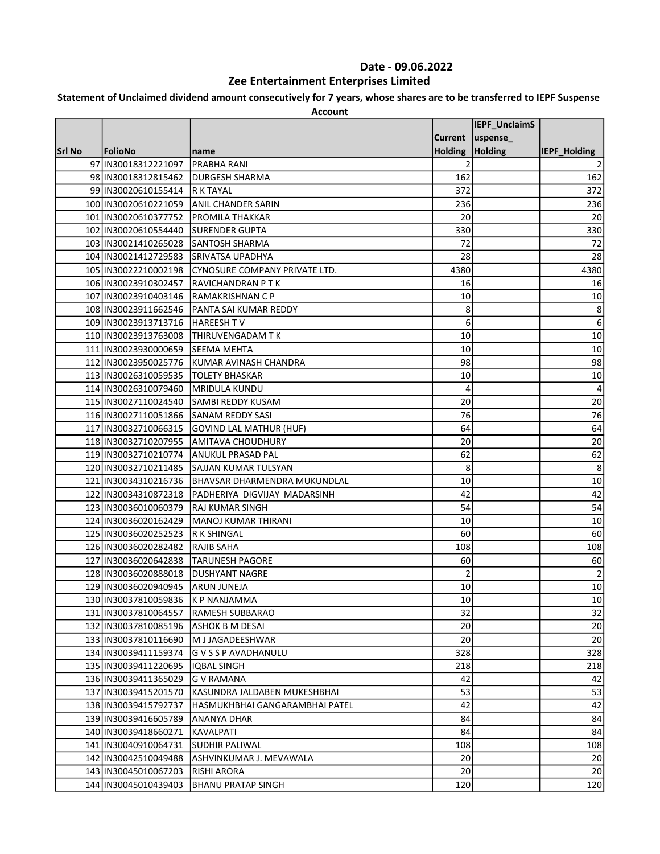### Statement of Unclaimed dividend amount consecutively for 7 years, whose shares are to be transferred to IEPF Suspense

|        |                                                      |                                            |                 | IEPF_UnclaimS |                     |
|--------|------------------------------------------------------|--------------------------------------------|-----------------|---------------|---------------------|
|        |                                                      |                                            | <b>Current</b>  | uspense_      |                     |
| Srl No | FolioNo                                              |                                            | Holding Holding |               | <b>IEPF Holding</b> |
|        | 97 IN30018312221097                                  | name<br><b>PRABHA RANI</b>                 |                 |               |                     |
|        |                                                      | <b>DURGESH SHARMA</b>                      | 2<br>162        |               | 162                 |
|        | 98 IN30018312815462<br>99 IN30020610155414 R K TAYAL |                                            |                 |               |                     |
|        |                                                      |                                            | 372             |               | 372                 |
|        | 100 IN30020610221059                                 | <b>ANIL CHANDER SARIN</b>                  | 236             |               | 236                 |
|        | 101 IN30020610377752                                 | <b>PROMILA THAKKAR</b>                     | 20              |               | 20                  |
|        | 102 IN30020610554440                                 | <b>SURENDER GUPTA</b>                      | 330             |               | 330                 |
|        | 103 IN30021410265028 SANTOSH SHARMA                  |                                            | 72              |               | 72                  |
|        | 104 IN30021412729583                                 | <b>SRIVATSA UPADHYA</b>                    | 28              |               | 28                  |
|        | 105 IN30022210002198                                 | CYNOSURE COMPANY PRIVATE LTD.              | 4380            |               | 4380                |
|        | 106 IN30023910302457                                 | RAVICHANDRAN P T K                         | 16              |               | 16                  |
|        | 107 IN30023910403146  RAMAKRISHNAN C P               |                                            | 10              |               | 10                  |
|        | 108 IN30023911662546                                 | <b>PANTA SAI KUMAR REDDY</b>               | 8               |               | 8                   |
|        | 109 IN30023913713716   HAREESH TV                    |                                            | 6               |               | 6                   |
|        | 110 IN30023913763008                                 | THIRUVENGADAM T K                          | 10              |               | 10                  |
|        | 111 IN30023930000659                                 | SEEMA MEHTA                                | 10              |               | 10                  |
|        |                                                      | 112 IN30023950025776 KUMAR AVINASH CHANDRA | 98              |               | 98                  |
|        | 113 IN30026310059535                                 | <b>TOLETY BHASKAR</b>                      | 10              |               | 10                  |
|        | 114 IN30026310079460                                 | <b>IMRIDULA KUNDU</b>                      | 4               |               | 4                   |
|        | 115 IN30027110024540                                 | <b>SAMBI REDDY KUSAM</b>                   | 20              |               | 20                  |
|        | 116 IN30027110051866 SANAM REDDY SASI                |                                            | 76              |               | 76                  |
|        | 117 IN30032710066315                                 | <b>GOVIND LAL MATHUR (HUF)</b>             | 64              |               | 64                  |
|        | 118 IN30032710207955                                 | AMITAVA CHOUDHURY                          | 20              |               | 20                  |
|        | 119 IN30032710210774                                 | <b>ANUKUL PRASAD PAL</b>                   | 62              |               | 62                  |
|        |                                                      | 120 IN30032710211485 SAJJAN KUMAR TULSYAN  | 8               |               | 8                   |
|        | 121 IN30034310216736                                 | <b>BHAVSAR DHARMENDRA MUKUNDLAL</b>        | 10              |               | 10                  |
|        | 122 IN30034310872318                                 | PADHERIYA DIGVIJAY MADARSINH               | 42              |               | 42                  |
|        | 123 IN30036010060379                                 | RAJ KUMAR SINGH                            | 54              |               | 54                  |
|        | 124 IN30036020162429                                 | <b>MANOJ KUMAR THIRANI</b>                 | 10              |               | 10                  |
|        | 125 IN30036020252523                                 | <b>R K SHINGAL</b>                         | 60              |               | 60                  |
|        | 126 IN30036020282482                                 | RAJIB SAHA                                 | 108             |               | 108                 |
|        | 127 IN30036020642838                                 | <b>TARUNESH PAGORE</b>                     | 60              |               | 60                  |
|        | 128 IN30036020888018                                 | <b>DUSHYANT NAGRE</b>                      | $\overline{2}$  |               | 2                   |
|        | 129 IIN 30036020940945                               | ARUN JUNEJA                                | 10              |               | 10                  |
|        | 130 IN30037810059836 K P NANJAMMA                    |                                            | $10\,$          |               | 10                  |
|        | 131 IN30037810064557                                 | RAMESH SUBBARAO                            | 32              |               | 32                  |
|        | 132 IN30037810085196                                 | ASHOK B M DESAI                            | 20              |               | 20                  |
|        | 133 IN30037810116690                                 | M J JAGADEESHWAR                           | 20              |               | 20                  |
|        | 134 IN30039411159374                                 | G V S S P AVADHANULU                       | 328             |               | 328                 |
|        | 135 IN30039411220695                                 | <b>IQBAL SINGH</b>                         | 218             |               | 218                 |
|        | 136 IN30039411365029                                 | <b>G V RAMANA</b>                          | 42              |               | 42                  |
|        | 137 IN30039415201570                                 | KASUNDRA JALDABEN MUKESHBHAI               | 53              |               | 53                  |
|        | 138 IN30039415792737                                 | HASMUKHBHAI GANGARAMBHAI PATEL             | 42              |               | 42                  |
|        | 139 IN30039416605789                                 | <b>ANANYA DHAR</b>                         | 84              |               | 84                  |
|        | 140 IN30039418660271                                 | KAVALPATI                                  | 84              |               | 84                  |
|        | 141   IN30040910064731                               | SUDHIR PALIWAL                             | 108             |               | 108                 |
|        | 142 IN30042510049488                                 | ASHVINKUMAR J. MEVAWALA                    | 20              |               | 20                  |
|        | 143 IN30045010067203                                 | RISHI ARORA                                | 20              |               | $20\,$              |
|        | 144 IN30045010439403                                 | <b>BHANU PRATAP SINGH</b>                  | 120             |               | 120                 |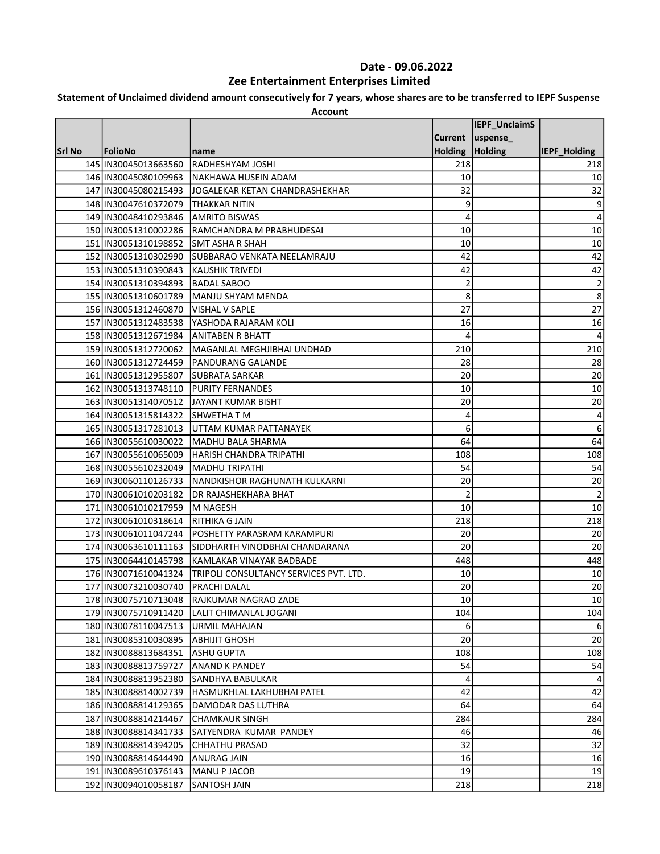# Statement of Unclaimed dividend amount consecutively for 7 years, whose shares are to be transferred to IEPF Suspense

|        |                                                |                                                                                         |                 | IEPF_UnclaimS     |                         |
|--------|------------------------------------------------|-----------------------------------------------------------------------------------------|-----------------|-------------------|-------------------------|
|        |                                                |                                                                                         |                 | Current  uspense_ |                         |
| Srl No | FolioNo                                        | name                                                                                    | Holding Holding |                   | IEPF_Holding            |
|        | 145 IN30045013663560                           | <b>RADHESHYAM JOSHI</b>                                                                 | 218             |                   | 218                     |
|        | 146 IN30045080109963                           | <b>INAKHAWA HUSEIN ADAM</b>                                                             | 10              |                   | 10                      |
|        |                                                | 147 IIN30045080215493 JJOGALEKAR KETAN CHANDRASHEKHAR                                   | 32              |                   | 32                      |
|        | 148 IN30047610372079 THAKKAR NITIN             |                                                                                         | 9               |                   | 9                       |
|        | 149 IN30048410293846                           | <b>AMRITO BISWAS</b>                                                                    | 4               |                   | 4                       |
|        | 150 IN30051310002286                           | RAMCHANDRA M PRABHUDESAI                                                                | 10              |                   | 10                      |
|        | 151 IN30051310198852                           | SMT ASHA R SHAH                                                                         | 10              |                   | 10                      |
|        |                                                | 152   IN30051310302990 SUBBARAO VENKATA NEELAMRAJU                                      | 42              |                   | 42                      |
|        | 153 IN30051310390843                           | İKAUSHIK TRIVEDI                                                                        | 42              |                   | 42                      |
|        | 154 IN30051310394893                           | <b>BADAL SABOO</b>                                                                      | 2               |                   | $\overline{\mathbf{c}}$ |
|        | 155 IN30051310601789                           | MANJU SHYAM MENDA                                                                       | 8               |                   | 8                       |
|        | 156 IN30051312460870                           | <b>VISHAL V SAPLE</b>                                                                   | 27              |                   | 27                      |
|        |                                                | 157 IN30051312483538 YASHODA RAJARAM KOLI                                               | 16              |                   | 16                      |
|        | 158 IN30051312671984                           | <b>ANITABEN R BHATT</b>                                                                 | 4               |                   | 4                       |
|        |                                                | 159 IN30051312720062   MAGANLAL MEGHJIBHAI UNDHAD                                       | 210             |                   | 210                     |
|        |                                                | 160 IN30051312724459 PANDURANG GALANDE                                                  | 28              |                   | 28                      |
|        | 161 IN30051312955807 SUBRATA SARKAR            |                                                                                         | 20              |                   | 20                      |
|        | 162 IN30051313748110 PURITY FERNANDES          |                                                                                         | 10              |                   | 10                      |
|        |                                                | 163 IN30051314070512 JJAYANT KUMAR BISHT                                                | 20              |                   | 20                      |
|        | 164 IN30051315814322 SHWETHAT M                |                                                                                         | 4               |                   | 4                       |
|        |                                                |                                                                                         | 6               |                   | 6                       |
|        |                                                | 165 IN30051317281013   UTTAM KUMAR PATTANAYEK<br>166 IN30055610030022 MADHU BALA SHARMA | 64              |                   | 64                      |
|        | 167 IN30055610065009                           |                                                                                         | 108             |                   |                         |
|        | 168 IN30055610232049                           | HARISH CHANDRA TRIPATHI<br>IMADHU TRIPATHI                                              | 54              |                   | 108<br>54               |
|        | 169 IN30060110126733                           | NANDKISHOR RAGHUNATH KULKARNI                                                           | 20              |                   | 20                      |
|        | 170 IN30061010203182                           | <b>DR RAJASHEKHARA BHAT</b>                                                             | $\overline{2}$  |                   | $\overline{2}$          |
|        | 171 IN30061010217959                           | M NAGESH                                                                                | 10              |                   | 10                      |
|        | 172 IN30061010318614                           | <b>RITHIKA G JAIN</b>                                                                   | 218             |                   | 218                     |
|        | 173 IN30061011047244                           | <b>POSHETTY PARASRAM KARAMPURI</b>                                                      | 20              |                   | 20                      |
|        | 174 IN30063610111163                           |                                                                                         | 20              |                   | 20                      |
|        | 175 IN30064410145798                           | SIDDHARTH VINODBHAI CHANDARANA<br>KAMLAKAR VINAYAK BADBADE                              | 448             |                   | 448                     |
|        | 176 IN30071610041324                           |                                                                                         | 10              |                   |                         |
|        | 177 IN30073210030740                           | TRIPOLI CONSULTANCY SERVICES PVT. LTD.<br>PRACHI DALAL                                  | 20              |                   | 10<br>20                |
|        |                                                |                                                                                         |                 |                   |                         |
|        | 178   IN30075710713048<br>179 IN30075710911420 | RAJKUMAR NAGRAO ZADE                                                                    | 10<br>104       |                   | 10 <br>104              |
|        | 180 IN30078110047513                           | LALIT CHIMANLAL JOGANI<br>URMIL MAHAJAN                                                 | 6               |                   |                         |
|        | 181 IN30085310030895                           | АВНIJIT GHOSH                                                                           | 20              |                   | 6<br>20                 |
|        | 182 IN30088813684351                           | ASHU GUPTA                                                                              | 108             |                   | 108                     |
|        | 183 IN30088813759727                           |                                                                                         | 54              |                   |                         |
|        |                                                | <b>ANAND K PANDEY</b>                                                                   |                 |                   | 54                      |
|        | 184 IN30088813952380                           | SANDHYA BABULKAR                                                                        | 4               |                   | 4                       |
|        | 185 IN30088814002739                           | lHASMUKHLAL LAKHUBHAI PATEL                                                             | 42              |                   | 42                      |
|        | 186 IN30088814129365                           | DAMODAR DAS LUTHRA                                                                      | 64              |                   | 64                      |
|        | 187 IN30088814214467                           | <b>CHAMKAUR SINGH</b>                                                                   | 284             |                   | 284                     |
|        | 188 IN30088814341733                           | SATYENDRA KUMAR PANDEY                                                                  | 46              |                   | 46                      |
|        | 189 IN30088814394205                           | CHHATHU PRASAD                                                                          | 32              |                   | 32                      |
|        | 190 IN30088814644490                           | ANURAG JAIN                                                                             | 16              |                   | 16                      |
|        | 191 IN30089610376143                           | MANU P JACOB                                                                            | 19              |                   | 19                      |
|        | 192 IN30094010058187                           | SANTOSH JAIN                                                                            | 218             |                   | 218                     |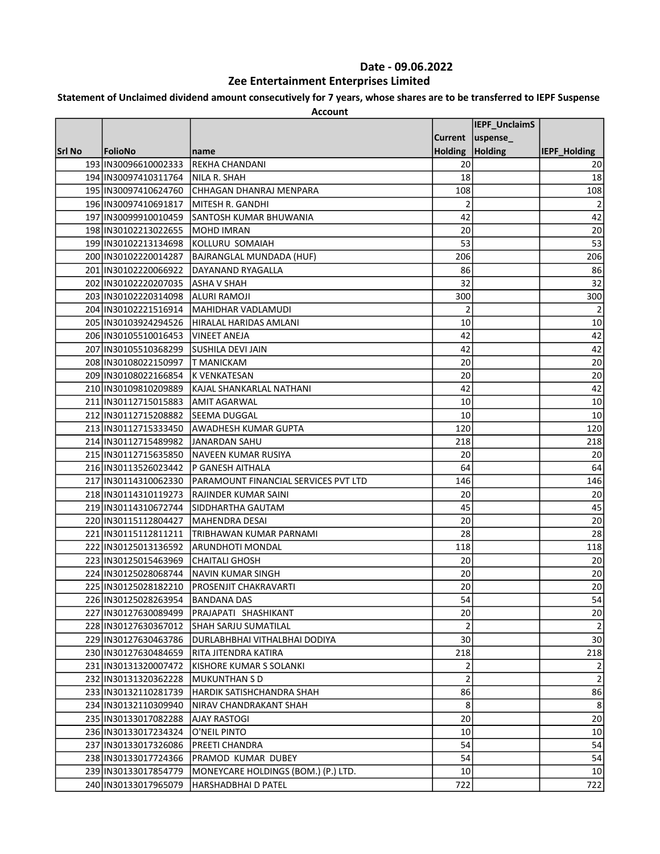# Statement of Unclaimed dividend amount consecutively for 7 years, whose shares are to be transferred to IEPF Suspense

|        |                                     |                                                 |                 | IEPF_UnclaimS      |              |
|--------|-------------------------------------|-------------------------------------------------|-----------------|--------------------|--------------|
|        |                                     |                                                 |                 | Current   uspense_ |              |
| Srl No | FolioNo                             | name                                            | Holding Holding |                    | IEPF Holding |
|        | 193 IN30096610002333                | <b>REKHA CHANDANI</b>                           | 20              |                    | 20           |
|        | 194 IN30097410311764                | <b>NILA R. SHAH</b>                             | 18              |                    | 18           |
|        | 195 IN30097410624760                | CHHAGAN DHANRAJ MENPARA                         | 108             |                    | 108          |
|        | 196 IN30097410691817                | MITESH R. GANDHI                                | 2               |                    | 2            |
|        |                                     | 197 IN30099910010459 SANTOSH KUMAR BHUWANIA     | 42              |                    | 42           |
|        | 198 IN30102213022655                | MOHD IMRAN                                      | 20              |                    | 20           |
|        | 199 IN30102213134698                | KOLLURU SOMAIAH                                 | 53              |                    | 53           |
|        | 200 IN30102220014287                | BAJRANGLAL MUNDADA (HUF)                        | 206             |                    | 206          |
|        | 201 IN30102220066922                | DAYANAND RYAGALLA                               | 86              |                    | 86           |
|        | 202 IN30102220207035 ASHA V SHAH    |                                                 | 32              |                    | 32           |
|        | 203 IN30102220314098                | ALURI RAMOJI                                    | 300             |                    | 300          |
|        | 204 IN30102221516914                | MAHIDHAR VADLAMUDI                              | $\overline{2}$  |                    | 2            |
|        |                                     | 205   IN30103924294526   HIRALAL HARIDAS AMLANI | 10              |                    | 10           |
|        | 206 IN30105510016453                | <b>VINEET ANEJA</b>                             | 42              |                    | 42           |
|        | 207 IN30105510368299                | <b>SUSHILA DEVI JAIN</b>                        | 42              |                    | 42           |
|        | 208 IN30108022150997   T MANICKAM   |                                                 | 20              |                    | 20           |
|        | 209 IN30108022166854 K VENKATESAN   |                                                 | 20              |                    | 20           |
|        |                                     | 210 IN30109810209889 KAJAL SHANKARLAL NATHANI   | 42              |                    | 42           |
|        | 211 IN30112715015883                | <b>AMIT AGARWAL</b>                             | 10              |                    | 10           |
|        | 212 IN30112715208882                | <b>SEEMA DUGGAL</b>                             | 10              |                    | 10           |
|        | 213 IN30112715333450                | <b>AWADHESH KUMAR GUPTA</b>                     | 120             |                    | 120          |
|        | 214 IN30112715489982 JJANARDAN SAHU |                                                 | 218             |                    | 218          |
|        | 215 IN30112715635850                | <b>NAVEEN KUMAR RUSIYA</b>                      | 20              |                    | 20           |
|        | 216 IN30113526023442                | P GANESH AITHALA                                | 64              |                    | 64           |
|        | 217 IN30114310062330                | PARAMOUNT FINANCIAL SERVICES PVT LTD            | 146             |                    | 146          |
|        | 218 IN30114310119273                | <b>RAJINDER KUMAR SAINI</b>                     | 20              |                    | 20           |
|        | 219 IN30114310672744                | SIDDHARTHA GAUTAM                               | 45              |                    | 45           |
|        | 220 IN30115112804427                | MAHENDRA DESAI                                  | 20              |                    | 20           |
|        |                                     | 221 IN30115112811211 TRIBHAWAN KUMAR PARNAMI    | 28              |                    | 28           |
|        | 222 IN30125013136592                | ARUNDHOTI MONDAL                                | 118             |                    | 118          |
|        | 223 IN30125015463969                | <b>CHAITALI GHOSH</b>                           | 20              |                    | 20           |
|        | 224 IN30125028068744                | INAVIN KUMAR SINGH                              | 20              |                    | 20           |
|        | 225 IN30125028182210                | PROSENJIT CHAKRAVARTI                           | 20              |                    | 20           |
|        | 226 IN30125028263954                | <b>IBANDANA DAS</b>                             | 54              |                    | 54 J         |
|        | 227 IN30127630089499                | PRAJAPATI SHASHIKANT                            | 20              |                    | 20           |
|        | 228 IN30127630367012                | SHAH SARJU SUMATILAL                            | 2               |                    | 2            |
|        | 229 IN30127630463786                | DURLABHBHAI VITHALBHAI DODIYA                   | 30              |                    | 30           |
|        | 230 IN30127630484659                | RITA JITENDRA KATIRA                            | 218             |                    | 218          |
|        | 231 IN30131320007472                | KISHORE KUMAR S SOLANKI                         | 2               |                    | 2            |
|        | 232 IN30131320362228                | MUKUNTHAN S D                                   | 2               |                    | 2            |
|        | 233 IN30132110281739                | HARDIK SATISHCHANDRA SHAH                       | 86              |                    | 86           |
|        | 234 IN30132110309940                | NIRAV CHANDRAKANT SHAH                          | 8               |                    | 8            |
|        | 235 IN30133017082288                | <b>AJAY RASTOGI</b>                             | 20              |                    | $20\,$       |
|        | 236 IN30133017234324                | O'NEIL PINTO                                    | 10              |                    | $10\,$       |
|        | 237 IN30133017326086                | <b>PREETI CHANDRA</b>                           | 54              |                    | 54           |
|        | 238 IN30133017724366                | PRAMOD KUMAR DUBEY                              | 54              |                    | 54           |
|        | 239 IN30133017854779                | MONEYCARE HOLDINGS (BOM.) (P.) LTD.             | 10              |                    | 10           |
|        | 240 IN30133017965079                | HARSHADBHAI D PATEL                             | 722             |                    | 722          |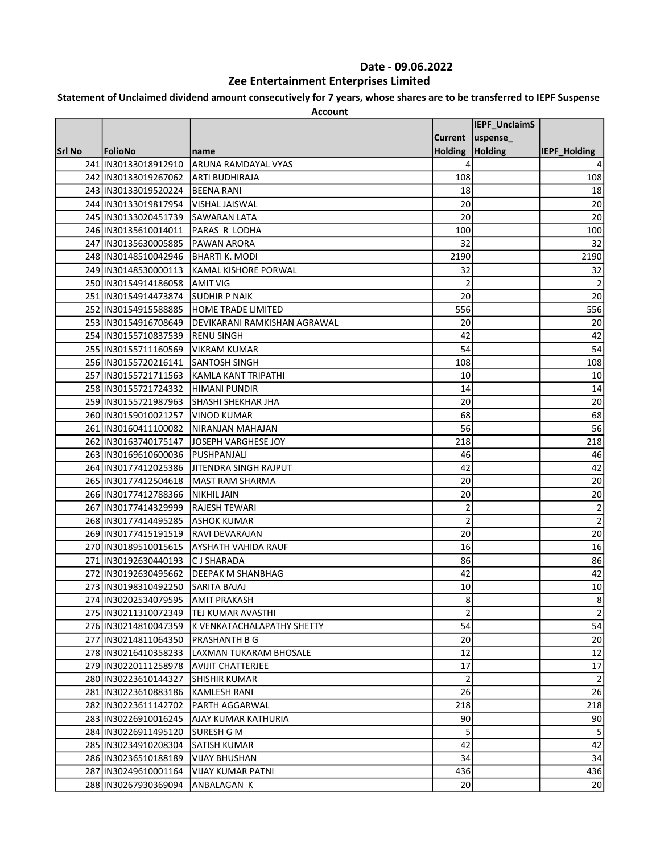### Statement of Unclaimed dividend amount consecutively for 7 years, whose shares are to be transferred to IEPF Suspense

|        |                                     |                                            |                 | IEPF_UnclaimS      |                     |
|--------|-------------------------------------|--------------------------------------------|-----------------|--------------------|---------------------|
|        |                                     |                                            |                 |                    |                     |
|        |                                     |                                            |                 | Current   uspense_ |                     |
| Srl No | FolioNo                             | name                                       | Holding Holding |                    | <b>IEPF Holding</b> |
|        | 241 IN30133018912910                | <b>ARUNA RAMDAYAL VYAS</b>                 |                 |                    |                     |
|        | 242 IN30133019267062 ARTI BUDHIRAJA |                                            | 108             |                    | 108                 |
|        | 243 IN30133019520224                | <b>BEENA RANI</b>                          | 18              |                    | 18                  |
|        | 244 IN30133019817954                | lVISHAL JAISWAL                            | 20              |                    | 20                  |
|        | 245 IN30133020451739 SAWARAN LATA   |                                            | 20              |                    | 20                  |
|        | 246 IN30135610014011                | PARAS R LODHA                              | 100             |                    | 100                 |
|        | 247 IN30135630005885                | PAWAN ARORA                                | 32              |                    | 32                  |
|        | 248 IN30148510042946                | <b>BHARTI K. MODI</b>                      | 2190            |                    | 2190                |
|        | 249 IN30148530000113                | KAMAL KISHORE PORWAL                       | 32              |                    | 32                  |
|        | 250 IN30154914186058                | <b>AMIT VIG</b>                            | 2               |                    | 2                   |
|        | 251 IN30154914473874                | <b>SUDHIR P NAIK</b>                       | 20              |                    | 20                  |
|        | 252 IN30154915588885                | HOME TRADE LIMITED                         | 556             |                    | 556                 |
|        | 253 IN30154916708649                | DEVIKARANI RAMKISHAN AGRAWAL               | 20              |                    | 20                  |
|        | 254 IN30155710837539                | <b>RENU SINGH</b>                          | 42              |                    | 42                  |
|        | 255 IN30155711160569                | VIKRAM KUMAR                               | 54              |                    | 54                  |
|        | 256 IN30155720216141                | <b>SANTOSH SINGH</b>                       | 108             |                    | 108                 |
|        | 257 IN30155721711563                | KAMLA KANT TRIPATHI                        | 10              |                    | 10                  |
|        | 258 IN30155721724332 HIMANI PUNDIR  |                                            | 14              |                    | 14                  |
|        | 259 IN30155721987963                | <b>SHASHI SHEKHAR JHA</b>                  | 20              |                    | 20                  |
|        | 260 IN30159010021257                | VINOD KUMAR                                | 68              |                    | 68                  |
|        | 261 IN30160411100082                | NIRANJAN MAHAJAN                           | 56              |                    | 56                  |
|        | 262 IN30163740175147                | JOSEPH VARGHESE JOY                        | 218             |                    | 218                 |
|        | 263 IN30169610600036                | PUSHPANJALI                                | 46              |                    | 46                  |
|        |                                     | 264 IN30177412025386 JITENDRA SINGH RAJPUT | 42              |                    | 42                  |
|        | 265 IN30177412504618                | MAST RAM SHARMA                            | 20              |                    | 20                  |
|        | 266 IN30177412788366                | <b>NIKHIL JAIN</b>                         | 20              |                    | 20                  |
|        | 267 IN30177414329999                | <b>RAJESH TEWARI</b>                       | $\overline{2}$  |                    | 2                   |
|        | 268 IN30177414495285                | <b>ASHOK KUMAR</b>                         | $\overline{2}$  |                    | 2                   |
|        | 269 IN30177415191519                |                                            | 20              |                    | 20                  |
|        | 270 IN30189510015615                | RAVI DEVARAJAN<br>AYSHATH VAHIDA RAUF      | 16              |                    | 16                  |
|        |                                     |                                            | 86              |                    |                     |
|        | 271 IN30192630440193                | <b>CJ SHARADA</b>                          |                 |                    | 86                  |
|        | 272 IN30192630495662                | DEEPAK M SHANBHAG                          | 42              |                    | 42                  |
|        | 273 IN30198310492250                | SARITA BAJAJ                               | 10              |                    | 10                  |
|        | 274 IN30202534079595                | <b>AMIT PRAKASH</b>                        | 8               |                    | 8 <sub>1</sub>      |
|        | 275 IN30211310072349                | TEJ KUMAR AVASTHI                          | $\overline{2}$  |                    | $\mathbf 2$         |
|        | 276 IN30214810047359                | IK VENKATACHALAPATHY SHETTY                | 54              |                    | 54                  |
|        | 277 IN30214811064350                | PRASHANTH B G                              | 20              |                    | 20                  |
|        | 278 IN30216410358233                | LAXMAN TUKARAM BHOSALE                     | 12              |                    | 12                  |
|        | 279 IN30220111258978                | AVIJIT CHATTERJEE                          | 17              |                    | 17                  |
|        | 280 IN30223610144327                | SHISHIR KUMAR                              | 2               |                    | 2                   |
|        | 281 IN30223610883186                | KAMLESH RANI                               | 26              |                    | 26                  |
|        | 282 IN30223611142702                | PARTH AGGARWAL                             | 218             |                    | 218                 |
|        | 283 IIN 30226910016245              | AJAY KUMAR KATHURIA                        | 90              |                    | 90                  |
|        | 284 IN30226911495120                | ISURESH G M                                | 5               |                    | 5                   |
|        | 285 IN30234910208304                | SATISH KUMAR                               | 42              |                    | 42                  |
|        | 286 IN30236510188189                | <b>VIJAY BHUSHAN</b>                       | 34              |                    | 34                  |
|        | 287 IN30249610001164                | <b>VIJAY KUMAR PATNI</b>                   | 436             |                    | 436                 |
|        | 288 IN30267930369094                | ANBALAGAN K                                | <b>20</b>       |                    | 20                  |